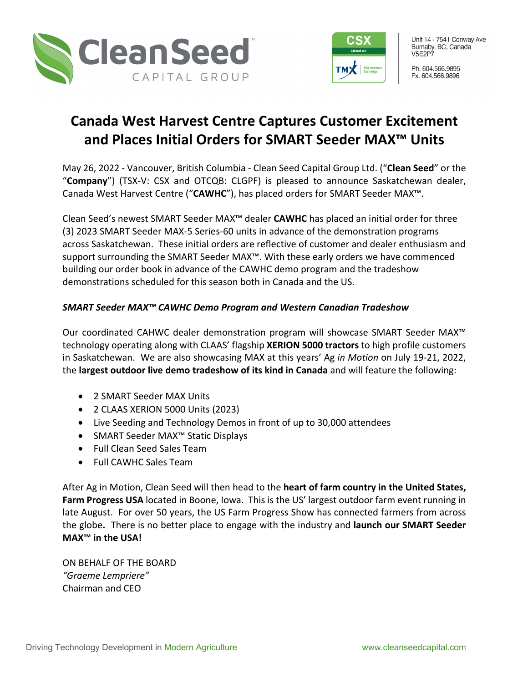



Unit 14 - 7541 Conway Ave Burnaby, BC, Canada **V5E2P7** 

Ph. 604.566.9895 Fx. 604.566.9896

## **Canada West Harvest Centre Captures Customer Excitement and Places Initial Orders for SMART Seeder MAX™ Units**

May 26, 2022 - Vancouver, British Columbia - Clean Seed Capital Group Ltd. ("**Clean Seed**" or the "**Company**") (TSX-V: CSX and OTCQB: CLGPF) is pleased to announce Saskatchewan dealer, Canada West Harvest Centre ("**CAWHC**"), has placed orders for SMART Seeder MAX™.

Clean Seed's newest SMART Seeder MAX™ dealer **CAWHC** has placed an initial order for three (3) 2023 SMART Seeder MAX-5 Series-60 units in advance of the demonstration programs across Saskatchewan. These initial orders are reflective of customer and dealer enthusiasm and support surrounding the SMART Seeder MAX™. With these early orders we have commenced building our order book in advance of the CAWHC demo program and the tradeshow demonstrations scheduled for this season both in Canada and the US.

## *SMART Seeder MAX™ CAWHC Demo Program and Western Canadian Tradeshow*

Our coordinated CAHWC dealer demonstration program will showcase SMART Seeder MAX™ technology operating along with CLAAS' flagship **XERION 5000 tractors** to high profile customers in Saskatchewan. We are also showcasing MAX at this years' Ag *in Motion* on July 19-21, 2022, the **largest outdoor live demo tradeshow of its kind in Canada** and will feature the following:

- 2 SMART Seeder MAX Units
- 2 CLAAS XERION 5000 Units (2023)
- Live Seeding and Technology Demos in front of up to 30,000 attendees
- SMART Seeder MAX™ Static Displays
- Full Clean Seed Sales Team
- Full CAWHC Sales Team

After Ag in Motion, Clean Seed will then head to the **heart of farm country in the United States, Farm Progress USA** located in Boone, Iowa. This is the US' largest outdoor farm event running in late August.For over 50 years, the US Farm Progress Show has connected farmers from across the globe**.** There is no better place to engage with the industry and **launch our SMART Seeder MAX™ in the USA!**

ON BEHALF OF THE BOARD *"Graeme Lempriere"* Chairman and CEO